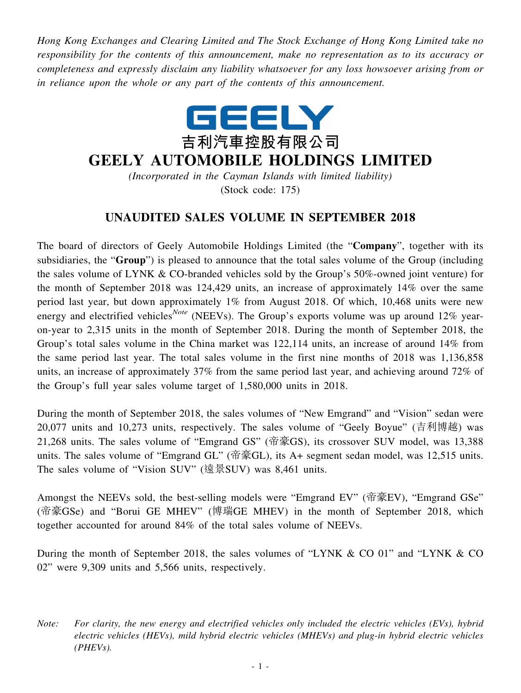*Hong Kong Exchanges and Clearing Limited and The Stock Exchange of Hong Kong Limited take no responsibility for the contents of this announcement, make no representation as to its accuracy or completeness and expressly disclaim any liability whatsoever for any loss howsoever arising from or in reliance upon the whole or any part of the contents of this announcement.*



## **GEELY AUTOMOBILE HOLDINGS LIMITED**

*(Incorporated in the Cayman Islands with limited liability)* (Stock code: 175)

## **UNAUDITED SALES VOLUME IN SEPTEMBER 2018**

The board of directors of Geely Automobile Holdings Limited (the "**Company**", together with its subsidiaries, the "**Group**") is pleased to announce that the total sales volume of the Group (including the sales volume of LYNK & CO-branded vehicles sold by the Group's 50%-owned joint venture) for the month of September 2018 was 124,429 units, an increase of approximately 14% over the same period last year, but down approximately 1% from August 2018. Of which, 10,468 units were new energy and electrified vehicles<sup>*Note*</sup> (NEEVs). The Group's exports volume was up around 12% yearon-year to 2,315 units in the month of September 2018. During the month of September 2018, the Group's total sales volume in the China market was 122,114 units, an increase of around 14% from the same period last year. The total sales volume in the first nine months of 2018 was 1,136,858 units, an increase of approximately 37% from the same period last year, and achieving around 72% of the Group's full year sales volume target of 1,580,000 units in 2018.

During the month of September 2018, the sales volumes of "New Emgrand" and "Vision" sedan were 20,077 units and 10,273 units, respectively. The sales volume of "Geely Boyue" (吉利博越) was 21,268 units. The sales volume of "Emgrand GS" (帝豪GS), its crossover SUV model, was 13,388 units. The sales volume of "Emgrand GL" (帝豪GL), its A+ segment sedan model, was 12,515 units. The sales volume of "Vision SUV" (遠景SUV) was 8,461 units.

Amongst the NEEVs sold, the best-selling models were "Emgrand EV" (帝豪EV), "Emgrand GSe" (帝豪GSe) and "Borui GE MHEV" (博瑞GE MHEV) in the month of September 2018, which together accounted for around 84% of the total sales volume of NEEVs.

During the month of September 2018, the sales volumes of "LYNK & CO 01" and "LYNK & CO 02" were 9,309 units and 5,566 units, respectively.

*Note: For clarity, the new energy and electrified vehicles only included the electric vehicles (EVs), hybrid electric vehicles (HEVs), mild hybrid electric vehicles (MHEVs) and plug-in hybrid electric vehicles (PHEVs).*